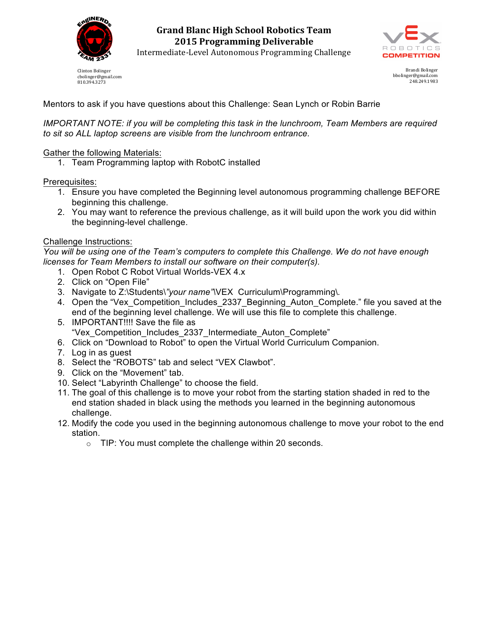

Clinton Bolinger cbolinger@gmail.com 810.394.3273

**Grand Blanc High School Robotics Team 2015 Programming Deliverable**



Intermediate-Level Autonomous Programming Challenge

Brandi Bolinger bbolinger@gmail.com 248.249.1983

# Mentors to ask if you have questions about this Challenge: Sean Lynch or Robin Barrie

*IMPORTANT NOTE: if you will be completing this task in the lunchroom, Team Members are required to sit so ALL laptop screens are visible from the lunchroom entrance.*

## Gather the following Materials:

1. Team Programming laptop with RobotC installed

Prerequisites:

- 1. Ensure you have completed the Beginning level autonomous programming challenge BEFORE beginning this challenge.
- 2. You may want to reference the previous challenge, as it will build upon the work you did within the beginning-level challenge.

### Challenge Instructions:

*You will be using one of the Team's computers to complete this Challenge. We do not have enough licenses for Team Members to install our software on their computer(s).*

- 1. Open Robot C Robot Virtual Worlds-VEX 4.x
- 2. Click on "Open File"
- 3. Navigate to Z:\Students\*"your name"\*VEX Curriculum\Programming\*.*
- 4. Open the "Vex\_Competition\_Includes\_2337\_Beginning\_Auton\_Complete." file you saved at the end of the beginning level challenge. We will use this file to complete this challenge.
- 5. IMPORTANT!!!! Save the file as "Vex\_Competition\_Includes\_2337\_Intermediate\_Auton\_Complete"
- 6. Click on "Download to Robot" to open the Virtual World Curriculum Companion.
- 7. Log in as guest
- 8. Select the "ROBOTS" tab and select "VEX Clawbot".
- 9. Click on the "Movement" tab.
- 10. Select "Labyrinth Challenge" to choose the field.
- 11. The goal of this challenge is to move your robot from the starting station shaded in red to the end station shaded in black using the methods you learned in the beginning autonomous challenge.
- 12. Modify the code you used in the beginning autonomous challenge to move your robot to the end station.
	- o TIP: You must complete the challenge within 20 seconds.